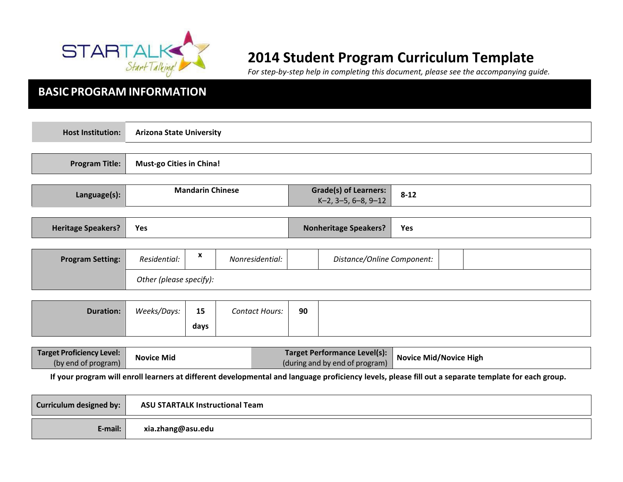

# **2014 Student Program Curriculum Template**

*For step-by-step help in completing this document, please see the accompanying guide.*

# **BASIC PROGRAM INFORMATION**

| <b>Host Institution:</b>  | <b>Arizona State University</b> |                          |                              |                                                        |                            |  |  |
|---------------------------|---------------------------------|--------------------------|------------------------------|--------------------------------------------------------|----------------------------|--|--|
|                           |                                 |                          |                              |                                                        |                            |  |  |
| <b>Program Title:</b>     |                                 | Must-go Cities in China! |                              |                                                        |                            |  |  |
|                           |                                 |                          |                              |                                                        |                            |  |  |
| Language(s):              | <b>Mandarin Chinese</b>         |                          |                              | <b>Grade(s) of Learners:</b><br>$K-2$ , 3-5, 6-8, 9-12 | $8 - 12$                   |  |  |
|                           |                                 |                          |                              |                                                        |                            |  |  |
| <b>Heritage Speakers?</b> | Yes                             |                          | <b>Nonheritage Speakers?</b> |                                                        | Yes                        |  |  |
|                           |                                 |                          |                              |                                                        |                            |  |  |
| <b>Program Setting:</b>   | Residential:                    | X                        | Nonresidential:              |                                                        | Distance/Online Component: |  |  |
|                           | Other (please specify):         |                          |                              |                                                        |                            |  |  |
|                           |                                 |                          |                              |                                                        |                            |  |  |
|                           |                                 |                          |                              |                                                        |                            |  |  |

| 90<br>15<br>Weeks/Days:<br><b>Duration:</b><br><b>Contact Hours:</b> |
|----------------------------------------------------------------------|
| days                                                                 |

| Target Proficiency Level:<br><b>Novice Mid</b><br>(by end of program) | <b>Target Performance Level(s):</b><br>(during and by end of program) | Novice Mid/Novice High |
|-----------------------------------------------------------------------|-----------------------------------------------------------------------|------------------------|
|-----------------------------------------------------------------------|-----------------------------------------------------------------------|------------------------|

If your program will enroll learners at different developmental and language proficiency levels, please fill out a separate template for each group.

| Curriculum designed by: | <b>ASU STARTALK Instructional Team</b> |
|-------------------------|----------------------------------------|
| E-mail:                 | xia.zhang@asu.edu                      |
|                         |                                        |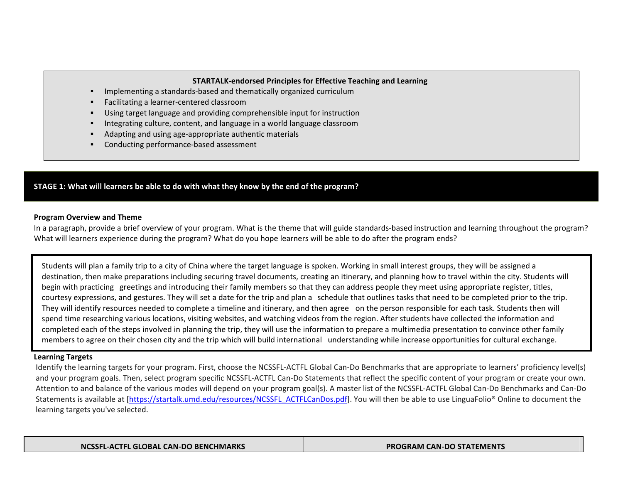#### **STARTALK-endorsed Principles for Effective Teaching and Learning**

- Implementing a standards-based and thematically organized curriculum
- **•** Facilitating a learner-centered classroom
- Using target language and providing comprehensible input for instruction
- Integrating culture, content, and language in a world language classroom
- Adapting and using age-appropriate authentic materials
- § Conducting performance-based assessment

# **STAGE 1: What will learners be able to do with what they know by the end of the program?**

# **Program Overview and Theme**

In a paragraph, provide a brief overview of your program. What is the theme that will guide standards-based instruction and learning throughout the program? What will learners experience during the program? What do you hope learners will be able to do after the program ends?

Students will plan a family trip to a city of China where the target language is spoken. Working in small interest groups, they will be assigned a destination, then make preparations including securing travel documents, creating an itinerary, and planning how to travel within the city. Students will begin with practicing greetings and introducing their family members so that they can address people they meet using appropriate register, titles, courtesy expressions, and gestures. They will set a date for the trip and plan a schedule that outlines tasks that need to be completed prior to the trip. They will identify resources needed to complete a timeline and itinerary, and then agree on the person responsible for each task. Students then will spend time researching various locations, visiting websites, and watching videos from the region. After students have collected the information and completed each of the steps involved in planning the trip, they will use the information to prepare a multimedia presentation to convince other family members to agree on their chosen city and the trip which will build international understanding while increase opportunities for cultural exchange.

### **Learning Targets**

Identify the learning targets for your program. First, choose the NCSSFL-ACTFL Global Can-Do Benchmarks that are appropriate to learners' proficiency level(s) and your program goals. Then, select program specific NCSSFL-ACTFL Can-Do Statements that reflect the specific content of your program or create your own. Attention to and balance of the various modes will depend on your program goal(s). A master list of the NCSSFL-ACTFL Global Can-Do Benchmarks and Can-Do Statements is available at [https://startalk.umd.edu/resources/NCSSFL\_ACTFLCanDos.pdf]. You will then be able to use LinguaFolio® Online to document the learning targets you've selected.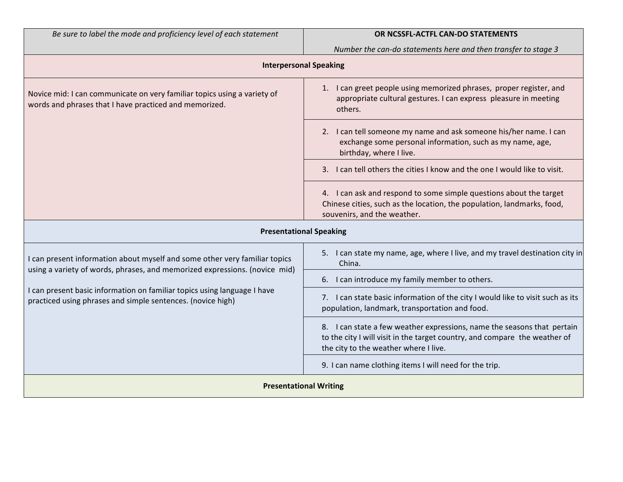| Be sure to label the mode and proficiency level of each statement |
|-------------------------------------------------------------------|
|-------------------------------------------------------------------|

# *Be sure to label the mode and proficiency level of each statement* **OR NCSSFL-ACTFL CAN-DO STATEMENTS**

*Number the can-do statements here and then transfer to stage 3*

| <b>Interpersonal Speaking</b>                                                                                                                                                                                                                                                                       |                                                                                                                                                                                                |  |  |
|-----------------------------------------------------------------------------------------------------------------------------------------------------------------------------------------------------------------------------------------------------------------------------------------------------|------------------------------------------------------------------------------------------------------------------------------------------------------------------------------------------------|--|--|
| Novice mid: I can communicate on very familiar topics using a variety of<br>words and phrases that I have practiced and memorized.                                                                                                                                                                  | 1. I can greet people using memorized phrases, proper register, and<br>appropriate cultural gestures. I can express pleasure in meeting<br>others.                                             |  |  |
|                                                                                                                                                                                                                                                                                                     | 2. I can tell someone my name and ask someone his/her name. I can<br>exchange some personal information, such as my name, age,<br>birthday, where I live.                                      |  |  |
|                                                                                                                                                                                                                                                                                                     | 3. I can tell others the cities I know and the one I would like to visit.                                                                                                                      |  |  |
|                                                                                                                                                                                                                                                                                                     | 4. I can ask and respond to some simple questions about the target<br>Chinese cities, such as the location, the population, landmarks, food,<br>souvenirs, and the weather.                    |  |  |
| <b>Presentational Speaking</b>                                                                                                                                                                                                                                                                      |                                                                                                                                                                                                |  |  |
| I can present information about myself and some other very familiar topics<br>using a variety of words, phrases, and memorized expressions. (novice mid)<br>I can present basic information on familiar topics using language I have<br>practiced using phrases and simple sentences. (novice high) | 5. I can state my name, age, where I live, and my travel destination city in<br>China.                                                                                                         |  |  |
|                                                                                                                                                                                                                                                                                                     | I can introduce my family member to others.<br>6.                                                                                                                                              |  |  |
|                                                                                                                                                                                                                                                                                                     | 7. I can state basic information of the city I would like to visit such as its<br>population, landmark, transportation and food.                                                               |  |  |
|                                                                                                                                                                                                                                                                                                     | 8. I can state a few weather expressions, name the seasons that pertain<br>to the city I will visit in the target country, and compare the weather of<br>the city to the weather where I live. |  |  |
|                                                                                                                                                                                                                                                                                                     | 9. I can name clothing items I will need for the trip.                                                                                                                                         |  |  |
| <b>Presentational Writing</b>                                                                                                                                                                                                                                                                       |                                                                                                                                                                                                |  |  |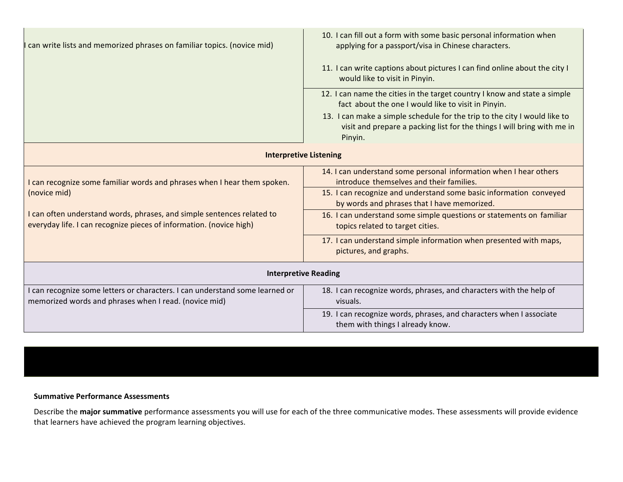| can write lists and memorized phrases on familiar topics. (novice mid)                                                                        | 10. I can fill out a form with some basic personal information when<br>applying for a passport/visa in Chinese characters.<br>11. I can write captions about pictures I can find online about the city I<br>would like to visit in Pinyin.<br>12. I can name the cities in the target country I know and state a simple<br>fact about the one I would like to visit in Pinyin.<br>13. I can make a simple schedule for the trip to the city I would like to<br>visit and prepare a packing list for the things I will bring with me in<br>Pinyin. |  |  |  |
|-----------------------------------------------------------------------------------------------------------------------------------------------|---------------------------------------------------------------------------------------------------------------------------------------------------------------------------------------------------------------------------------------------------------------------------------------------------------------------------------------------------------------------------------------------------------------------------------------------------------------------------------------------------------------------------------------------------|--|--|--|
| <b>Interpretive Listening</b>                                                                                                                 |                                                                                                                                                                                                                                                                                                                                                                                                                                                                                                                                                   |  |  |  |
| I can recognize some familiar words and phrases when I hear them spoken.                                                                      | 14. I can understand some personal information when I hear others<br>introduce themselves and their families.                                                                                                                                                                                                                                                                                                                                                                                                                                     |  |  |  |
| (novice mid)                                                                                                                                  | 15. I can recognize and understand some basic information conveyed<br>by words and phrases that I have memorized.                                                                                                                                                                                                                                                                                                                                                                                                                                 |  |  |  |
| I can often understand words, phrases, and simple sentences related to<br>everyday life. I can recognize pieces of information. (novice high) | 16. I can understand some simple questions or statements on familiar<br>topics related to target cities.                                                                                                                                                                                                                                                                                                                                                                                                                                          |  |  |  |
|                                                                                                                                               | 17. I can understand simple information when presented with maps,<br>pictures, and graphs.                                                                                                                                                                                                                                                                                                                                                                                                                                                        |  |  |  |
| <b>Interpretive Reading</b>                                                                                                                   |                                                                                                                                                                                                                                                                                                                                                                                                                                                                                                                                                   |  |  |  |
| I can recognize some letters or characters. I can understand some learned or<br>memorized words and phrases when I read. (novice mid)         | 18. I can recognize words, phrases, and characters with the help of<br>visuals.                                                                                                                                                                                                                                                                                                                                                                                                                                                                   |  |  |  |
|                                                                                                                                               | 19. I can recognize words, phrases, and characters when I associate<br>them with things I already know.                                                                                                                                                                                                                                                                                                                                                                                                                                           |  |  |  |

# **Summative Performance Assessments**

Describe the major summative performance assessments you will use for each of the three communicative modes. These assessments will provide evidence that learners have achieved the program learning objectives.

*You may add additional rows as necessary.*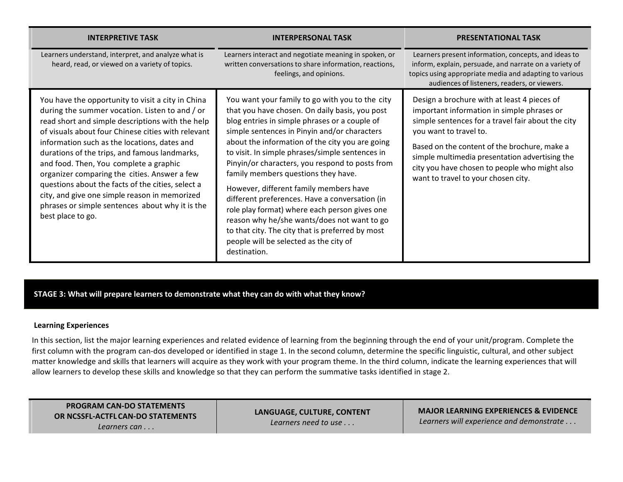| <b>INTERPRETIVE TASK</b>                                                                                                                                                                                                                                                                                                                                                                                                                                                                                                                                                               | <b>INTERPERSONAL TASK</b>                                                                                                                                                                                                                                                                                                                                                                                                                                                                                                                                                                                                                                                                                    | <b>PRESENTATIONAL TASK</b>                                                                                                                                                                                                                                                                                                                                         |
|----------------------------------------------------------------------------------------------------------------------------------------------------------------------------------------------------------------------------------------------------------------------------------------------------------------------------------------------------------------------------------------------------------------------------------------------------------------------------------------------------------------------------------------------------------------------------------------|--------------------------------------------------------------------------------------------------------------------------------------------------------------------------------------------------------------------------------------------------------------------------------------------------------------------------------------------------------------------------------------------------------------------------------------------------------------------------------------------------------------------------------------------------------------------------------------------------------------------------------------------------------------------------------------------------------------|--------------------------------------------------------------------------------------------------------------------------------------------------------------------------------------------------------------------------------------------------------------------------------------------------------------------------------------------------------------------|
| Learners understand, interpret, and analyze what is<br>heard, read, or viewed on a variety of topics.                                                                                                                                                                                                                                                                                                                                                                                                                                                                                  | Learners interact and negotiate meaning in spoken, or<br>written conversations to share information, reactions,<br>feelings, and opinions.                                                                                                                                                                                                                                                                                                                                                                                                                                                                                                                                                                   | Learners present information, concepts, and ideas to<br>inform, explain, persuade, and narrate on a variety of<br>topics using appropriate media and adapting to various<br>audiences of listeners, readers, or viewers.                                                                                                                                           |
| You have the opportunity to visit a city in China<br>during the summer vocation. Listen to and / or<br>read short and simple descriptions with the help<br>of visuals about four Chinese cities with relevant<br>information such as the locations, dates and<br>durations of the trips, and famous landmarks,<br>and food. Then, You complete a graphic<br>organizer comparing the cities. Answer a few<br>questions about the facts of the cities, select a<br>city, and give one simple reason in memorized<br>phrases or simple sentences about why it is the<br>best place to go. | You want your family to go with you to the city<br>that you have chosen. On daily basis, you post<br>blog entries in simple phrases or a couple of<br>simple sentences in Pinyin and/or characters<br>about the information of the city you are going<br>to visit. In simple phrases/simple sentences in<br>Pinyin/or characters, you respond to posts from<br>family members questions they have.<br>However, different family members have<br>different preferences. Have a conversation (in<br>role play format) where each person gives one<br>reason why he/she wants/does not want to go<br>to that city. The city that is preferred by most<br>people will be selected as the city of<br>destination. | Design a brochure with at least 4 pieces of<br>important information in simple phrases or<br>simple sentences for a travel fair about the city<br>you want to travel to.<br>Based on the content of the brochure, make a<br>simple multimedia presentation advertising the<br>city you have chosen to people who might also<br>want to travel to your chosen city. |

**STAGE 3: What will prepare learners to demonstrate what they can do with what they know?**

### **Learning Experiences**

In this section, list the major learning experiences and related evidence of learning from the beginning through the end of your unit/program. Complete the first column with the program can-dos developed or identified in stage 1. In the second column, determine the specific linguistic, cultural, and other subject matter knowledge and skills that learners will acquire as they work with your program theme. In the third column, indicate the learning experiences that will allow learners to develop these skills and knowledge so that they can perform the summative tasks identified in stage 2.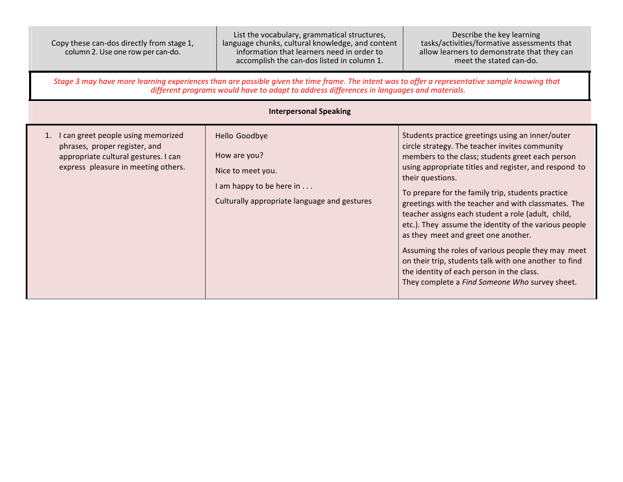| Copy these can-dos directly from stage 1, |
|-------------------------------------------|
| column 2. Use one row per can-do.         |

List the vocabulary, grammatical structures, language chunks, cultural knowledge, and content information that learners need in order to accomplish the can-dos listed in column 1.

Describe the key learning tasks/activities/formative assessments that allow learners to demonstrate that they can meet the stated can-do.

Stage 3 may have more learning experiences than are possible given the time frame. The intent was to offer a representative sample knowing that *different programs would have to adapt to address differences in languages and materials.*

| <b>Interpersonal Speaking</b>                                                                                                                         |                                                                                                                                        |                                                                                                                                                                                                                                                                                                                                                                                                                                                                                                                                                                                                                                                                                                                     |  |  |
|-------------------------------------------------------------------------------------------------------------------------------------------------------|----------------------------------------------------------------------------------------------------------------------------------------|---------------------------------------------------------------------------------------------------------------------------------------------------------------------------------------------------------------------------------------------------------------------------------------------------------------------------------------------------------------------------------------------------------------------------------------------------------------------------------------------------------------------------------------------------------------------------------------------------------------------------------------------------------------------------------------------------------------------|--|--|
| 1. I can greet people using memorized<br>phrases, proper register, and<br>appropriate cultural gestures. I can<br>express pleasure in meeting others. | Hello Goodbye<br>How are you?<br>Nice to meet you.<br>I am happy to be here in $\dots$<br>Culturally appropriate language and gestures | Students practice greetings using an inner/outer<br>circle strategy. The teacher invites community<br>members to the class; students greet each person<br>using appropriate titles and register, and respond to<br>their questions.<br>To prepare for the family trip, students practice<br>greetings with the teacher and with classmates. The<br>teacher assigns each student a role (adult, child,<br>etc.). They assume the identity of the various people<br>as they meet and greet one another.<br>Assuming the roles of various people they may meet<br>on their trip, students talk with one another to find<br>the identity of each person in the class.<br>They complete a Find Someone Who survey sheet. |  |  |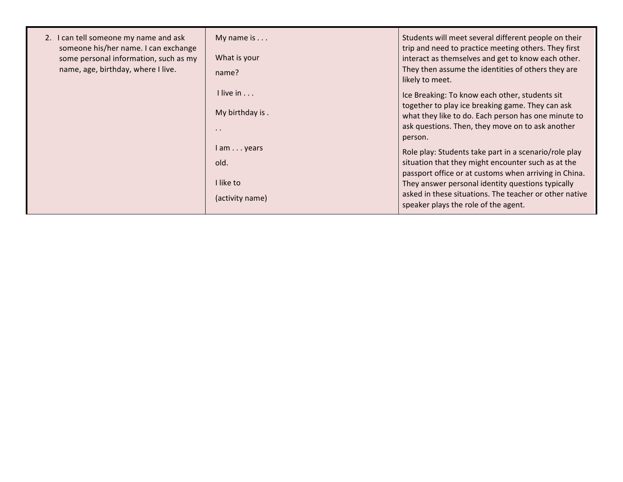| 2. I can tell someone my name and ask<br>someone his/her name. I can exchange<br>some personal information, such as my<br>name, age, birthday, where I live. | My name is $\dots$<br>What is your<br>name?                   | Students will meet several different people on their<br>trip and need to practice meeting others. They first<br>interact as themselves and get to know each other.<br>They then assume the identities of others they are<br>likely to meet.                                                                                 |
|--------------------------------------------------------------------------------------------------------------------------------------------------------------|---------------------------------------------------------------|-----------------------------------------------------------------------------------------------------------------------------------------------------------------------------------------------------------------------------------------------------------------------------------------------------------------------------|
|                                                                                                                                                              | I live in<br>My birthday is.<br>$\cdot$ $\cdot$               | Ice Breaking: To know each other, students sit<br>together to play ice breaking game. They can ask<br>what they like to do. Each person has one minute to<br>ask questions. Then, they move on to ask another<br>person.                                                                                                    |
|                                                                                                                                                              | $l$ am $\ldots$ years<br>old.<br>I like to<br>(activity name) | Role play: Students take part in a scenario/role play<br>situation that they might encounter such as at the<br>passport office or at customs when arriving in China.<br>They answer personal identity questions typically<br>asked in these situations. The teacher or other native<br>speaker plays the role of the agent. |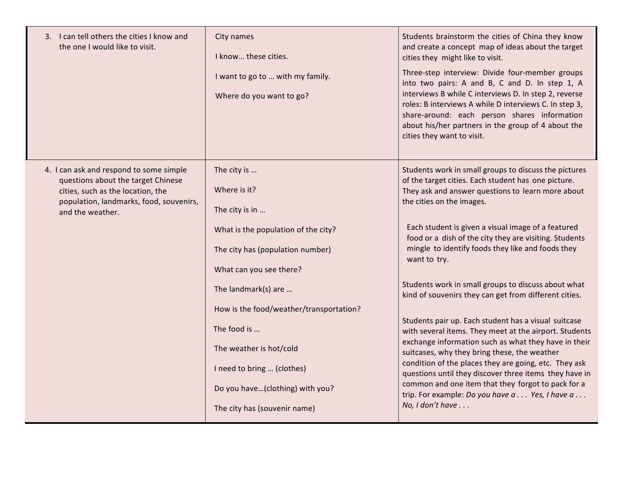| 3. I can tell others the cities I know and<br>the one I would like to visit.                                                                                                      | City names<br>I know these cities.<br>I want to go to  with my family.<br>Where do you want to go?                                                                                                        | Students brainstorm the cities of China they know<br>and create a concept map of ideas about the target<br>cities they might like to visit.<br>Three-step interview: Divide four-member groups<br>into two pairs: A and B, C and D. In step 1, A<br>interviews B while C interviews D. In step 2, reverse<br>roles: B interviews A while D interviews C. In step 3,<br>share-around: each person shares information<br>about his/her partners in the group of 4 about the<br>cities they want to visit.                                                                               |
|-----------------------------------------------------------------------------------------------------------------------------------------------------------------------------------|-----------------------------------------------------------------------------------------------------------------------------------------------------------------------------------------------------------|---------------------------------------------------------------------------------------------------------------------------------------------------------------------------------------------------------------------------------------------------------------------------------------------------------------------------------------------------------------------------------------------------------------------------------------------------------------------------------------------------------------------------------------------------------------------------------------|
| 4. I can ask and respond to some simple<br>questions about the target Chinese<br>cities, such as the location, the<br>population, landmarks, food, souvenirs,<br>and the weather. | The city is<br>Where is it?<br>The city is in<br>What is the population of the city?<br>The city has (population number)<br>What can you see there?                                                       | Students work in small groups to discuss the pictures<br>of the target cities. Each student has one picture.<br>They ask and answer questions to learn more about<br>the cities on the images.<br>Each student is given a visual image of a featured<br>food or a dish of the city they are visiting. Students<br>mingle to identify foods they like and foods they<br>want to try.                                                                                                                                                                                                   |
|                                                                                                                                                                                   | The landmark(s) are<br>How is the food/weather/transportation?<br>The food is<br>The weather is hot/cold<br>I need to bring  (clothes)<br>Do you have(clothing) with you?<br>The city has (souvenir name) | Students work in small groups to discuss about what<br>kind of souvenirs they can get from different cities.<br>Students pair up. Each student has a visual suitcase<br>with several items. They meet at the airport. Students<br>exchange information such as what they have in their<br>suitcases, why they bring these, the weather<br>condition of the places they are going, etc. They ask<br>questions until they discover three items they have in<br>common and one item that they forgot to pack for a<br>trip. For example: Do you have a Yes, I have a<br>No, I don't have |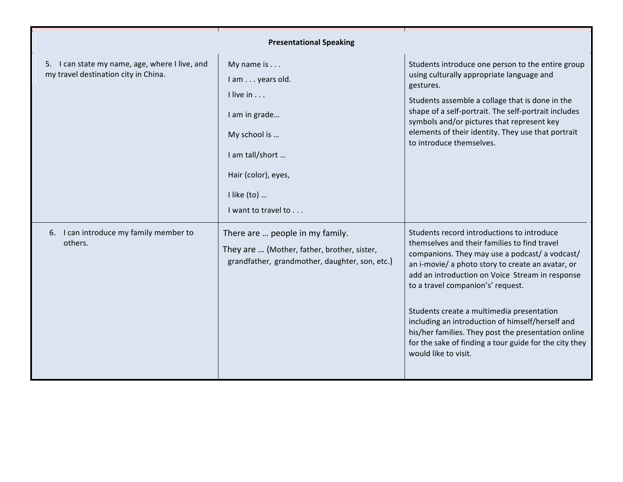| <b>Presentational Speaking</b>                                                         |                                                                                                                                                                     |                                                                                                                                                                                                                                                                                                                                                                                                                                                                                                                                     |  |
|----------------------------------------------------------------------------------------|---------------------------------------------------------------------------------------------------------------------------------------------------------------------|-------------------------------------------------------------------------------------------------------------------------------------------------------------------------------------------------------------------------------------------------------------------------------------------------------------------------------------------------------------------------------------------------------------------------------------------------------------------------------------------------------------------------------------|--|
| 5. I can state my name, age, where I live, and<br>my travel destination city in China. | My name is $\dots$<br>I am years old.<br>I live in<br>I am in grade<br>My school is<br>I am tall/short<br>Hair (color), eyes,<br>I like (to)<br>I want to travel to | Students introduce one person to the entire group<br>using culturally appropriate language and<br>gestures.<br>Students assemble a collage that is done in the<br>shape of a self-portrait. The self-portrait includes<br>symbols and/or pictures that represent key<br>elements of their identity. They use that portrait<br>to introduce themselves.                                                                                                                                                                              |  |
| 6. I can introduce my family member to<br>others.                                      | There are  people in my family.<br>They are  (Mother, father, brother, sister,<br>grandfather, grandmother, daughter, son, etc.)                                    | Students record introductions to introduce<br>themselves and their families to find travel<br>companions. They may use a podcast/ a vodcast/<br>an i-movie/ a photo story to create an avatar, or<br>add an introduction on Voice Stream in response<br>to a travel companion's' request.<br>Students create a multimedia presentation<br>including an introduction of himself/herself and<br>his/her families. They post the presentation online<br>for the sake of finding a tour guide for the city they<br>would like to visit. |  |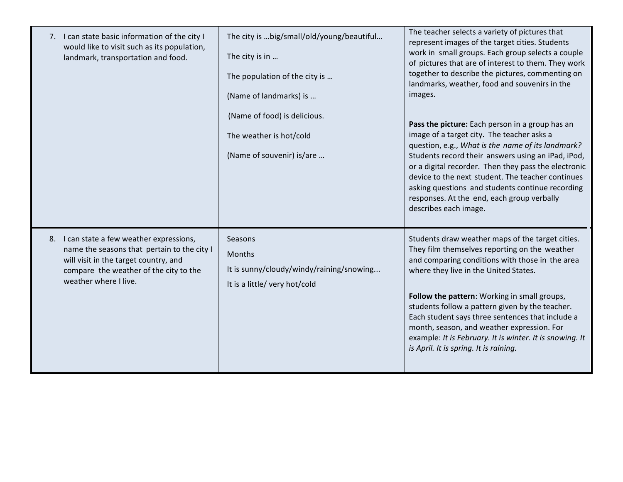| 7. I can state basic information of the city I<br>would like to visit such as its population,<br>landmark, transportation and food.                                                                  | The city is  big/small/old/young/beautiful<br>The city is in<br>The population of the city is<br>(Name of landmarks) is | The teacher selects a variety of pictures that<br>represent images of the target cities. Students<br>work in small groups. Each group selects a couple<br>of pictures that are of interest to them. They work<br>together to describe the pictures, commenting on<br>landmarks, weather, food and souvenirs in the<br>images.                                                                                                                                                                            |
|------------------------------------------------------------------------------------------------------------------------------------------------------------------------------------------------------|-------------------------------------------------------------------------------------------------------------------------|----------------------------------------------------------------------------------------------------------------------------------------------------------------------------------------------------------------------------------------------------------------------------------------------------------------------------------------------------------------------------------------------------------------------------------------------------------------------------------------------------------|
|                                                                                                                                                                                                      | (Name of food) is delicious.<br>The weather is hot/cold<br>(Name of souvenir) is/are                                    | Pass the picture: Each person in a group has an<br>image of a target city. The teacher asks a<br>question, e.g., What is the name of its landmark?<br>Students record their answers using an iPad, iPod,<br>or a digital recorder. Then they pass the electronic<br>device to the next student. The teacher continues<br>asking questions and students continue recording<br>responses. At the end, each group verbally<br>describes each image.                                                         |
| 8. I can state a few weather expressions,<br>name the seasons that pertain to the city I<br>will visit in the target country, and<br>compare the weather of the city to the<br>weather where I live. | Seasons<br>Months<br>It is sunny/cloudy/windy/raining/snowing<br>It is a little/ very hot/cold                          | Students draw weather maps of the target cities.<br>They film themselves reporting on the weather<br>and comparing conditions with those in the area<br>where they live in the United States.<br>Follow the pattern: Working in small groups,<br>students follow a pattern given by the teacher.<br>Each student says three sentences that include a<br>month, season, and weather expression. For<br>example: It is February. It is winter. It is snowing. It<br>is April. It is spring. It is raining. |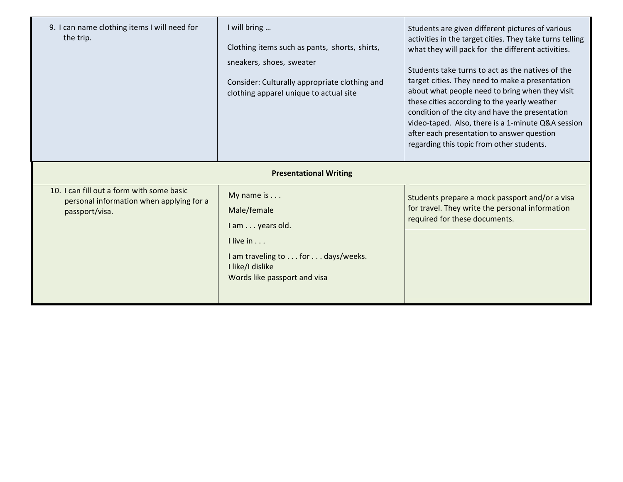| 9. I can name clothing items I will need for<br>the trip.                                               | I will bring<br>Clothing items such as pants, shorts, shirts,<br>sneakers, shoes, sweater<br>Consider: Culturally appropriate clothing and<br>clothing apparel unique to actual site | Students are given different pictures of various<br>activities in the target cities. They take turns telling<br>what they will pack for the different activities.<br>Students take turns to act as the natives of the<br>target cities. They need to make a presentation<br>about what people need to bring when they visit<br>these cities according to the yearly weather<br>condition of the city and have the presentation<br>video-taped. Also, there is a 1-minute Q&A session<br>after each presentation to answer question<br>regarding this topic from other students. |
|---------------------------------------------------------------------------------------------------------|--------------------------------------------------------------------------------------------------------------------------------------------------------------------------------------|---------------------------------------------------------------------------------------------------------------------------------------------------------------------------------------------------------------------------------------------------------------------------------------------------------------------------------------------------------------------------------------------------------------------------------------------------------------------------------------------------------------------------------------------------------------------------------|
| <b>Presentational Writing</b>                                                                           |                                                                                                                                                                                      |                                                                                                                                                                                                                                                                                                                                                                                                                                                                                                                                                                                 |
| 10. I can fill out a form with some basic<br>personal information when applying for a<br>passport/visa. | My name is<br>Male/female<br>I am years old.<br>$l$ live in $\ldots$<br>I am traveling to for days/weeks.<br>I like/I dislike<br>Words like passport and visa                        | Students prepare a mock passport and/or a visa<br>for travel. They write the personal information<br>required for these documents.                                                                                                                                                                                                                                                                                                                                                                                                                                              |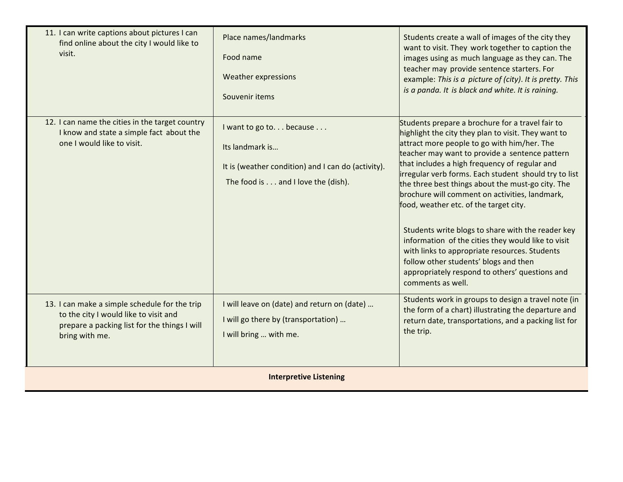| 11. I can write captions about pictures I can<br>find online about the city I would like to<br>visit.                                                    | Place names/landmarks<br>Food name<br><b>Weather expressions</b><br>Souvenir items                                                     | Students create a wall of images of the city they<br>want to visit. They work together to caption the<br>images using as much language as they can. The<br>teacher may provide sentence starters. For<br>example: This is a picture of (city). It is pretty. This<br>is a panda. It is black and white. It is raining.                                                                                                                                                                                                                                                                                                                                                                                                                          |
|----------------------------------------------------------------------------------------------------------------------------------------------------------|----------------------------------------------------------------------------------------------------------------------------------------|-------------------------------------------------------------------------------------------------------------------------------------------------------------------------------------------------------------------------------------------------------------------------------------------------------------------------------------------------------------------------------------------------------------------------------------------------------------------------------------------------------------------------------------------------------------------------------------------------------------------------------------------------------------------------------------------------------------------------------------------------|
| 12. I can name the cities in the target country<br>I know and state a simple fact about the<br>one I would like to visit.                                | I want to go to because<br>Its landmark is<br>It is (weather condition) and I can do (activity).<br>The food is and I love the (dish). | Students prepare a brochure for a travel fair to<br>highlight the city they plan to visit. They want to<br>attract more people to go with him/her. The<br>teacher may want to provide a sentence pattern<br>that includes a high frequency of regular and<br>irregular verb forms. Each student should try to list<br>the three best things about the must-go city. The<br>brochure will comment on activities, landmark,<br>food, weather etc. of the target city.<br>Students write blogs to share with the reader key<br>information of the cities they would like to visit<br>with links to appropriate resources. Students<br>follow other students' blogs and then<br>appropriately respond to others' questions and<br>comments as well. |
| 13. I can make a simple schedule for the trip<br>to the city I would like to visit and<br>prepare a packing list for the things I will<br>bring with me. | I will leave on (date) and return on (date)<br>I will go there by (transportation)<br>I will bring  with me.                           | Students work in groups to design a travel note (in<br>the form of a chart) illustrating the departure and<br>return date, transportations, and a packing list for<br>the trip.                                                                                                                                                                                                                                                                                                                                                                                                                                                                                                                                                                 |
| <b>Interpretive Listening</b>                                                                                                                            |                                                                                                                                        |                                                                                                                                                                                                                                                                                                                                                                                                                                                                                                                                                                                                                                                                                                                                                 |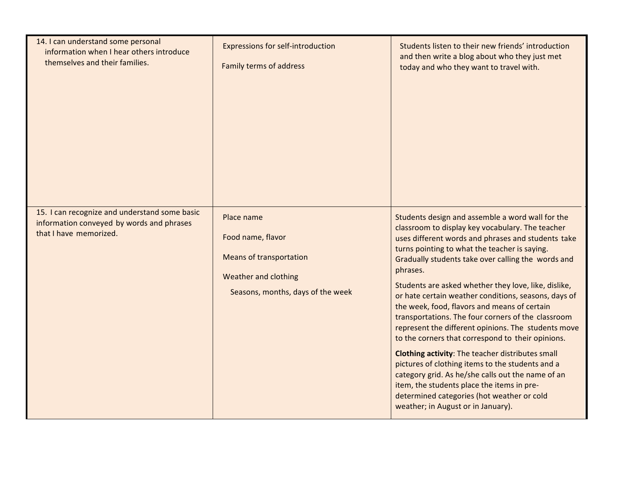| 14. I can understand some personal<br>information when I hear others introduce<br>themselves and their families.<br>15. I can recognize and understand some basic | <b>Expressions for self-introduction</b><br><b>Family terms of address</b>                                                     | Students listen to their new friends' introduction<br>and then write a blog about who they just met<br>today and who they want to travel with.                                                                                                                                                                                                                                                                                                                                                                                                                                                                                                                                                                                                                                                                                                                                                                        |
|-------------------------------------------------------------------------------------------------------------------------------------------------------------------|--------------------------------------------------------------------------------------------------------------------------------|-----------------------------------------------------------------------------------------------------------------------------------------------------------------------------------------------------------------------------------------------------------------------------------------------------------------------------------------------------------------------------------------------------------------------------------------------------------------------------------------------------------------------------------------------------------------------------------------------------------------------------------------------------------------------------------------------------------------------------------------------------------------------------------------------------------------------------------------------------------------------------------------------------------------------|
| information conveyed by words and phrases<br>that I have memorized.                                                                                               | Place name<br>Food name, flavor<br><b>Means of transportation</b><br>Weather and clothing<br>Seasons, months, days of the week | Students design and assemble a word wall for the<br>classroom to display key vocabulary. The teacher<br>uses different words and phrases and students take<br>turns pointing to what the teacher is saying.<br>Gradually students take over calling the words and<br>phrases.<br>Students are asked whether they love, like, dislike,<br>or hate certain weather conditions, seasons, days of<br>the week, food, flavors and means of certain<br>transportations. The four corners of the classroom<br>represent the different opinions. The students move<br>to the corners that correspond to their opinions.<br><b>Clothing activity:</b> The teacher distributes small<br>pictures of clothing items to the students and a<br>category grid. As he/she calls out the name of an<br>item, the students place the items in pre-<br>determined categories (hot weather or cold<br>weather; in August or in January). |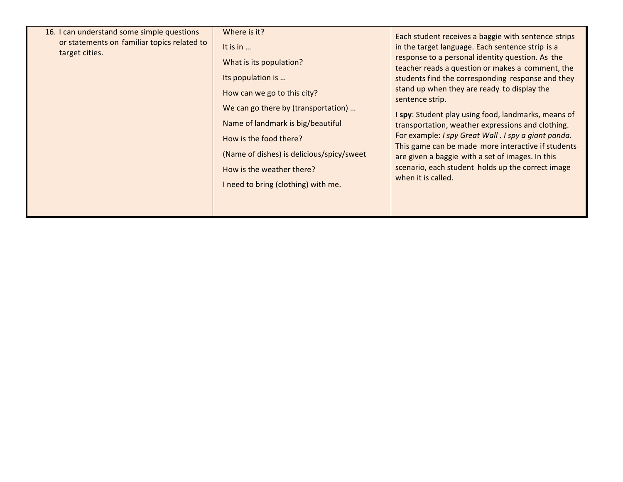| Where is it?<br>16. I can understand some simple questions<br>Each student receives a baggie with sentence strips<br>or statements on familiar topics related to<br>in the target language. Each sentence strip is a<br>It is in $\ldots$<br>target cities.<br>response to a personal identity question. As the<br>What is its population?<br>teacher reads a question or makes a comment, the<br>Its population is<br>students find the corresponding response and they<br>stand up when they are ready to display the<br>How can we go to this city?<br>sentence strip.<br>We can go there by (transportation)<br>I spy: Student play using food, landmarks, means of<br>Name of landmark is big/beautiful<br>transportation, weather expressions and clothing. |
|-------------------------------------------------------------------------------------------------------------------------------------------------------------------------------------------------------------------------------------------------------------------------------------------------------------------------------------------------------------------------------------------------------------------------------------------------------------------------------------------------------------------------------------------------------------------------------------------------------------------------------------------------------------------------------------------------------------------------------------------------------------------|
|-------------------------------------------------------------------------------------------------------------------------------------------------------------------------------------------------------------------------------------------------------------------------------------------------------------------------------------------------------------------------------------------------------------------------------------------------------------------------------------------------------------------------------------------------------------------------------------------------------------------------------------------------------------------------------------------------------------------------------------------------------------------|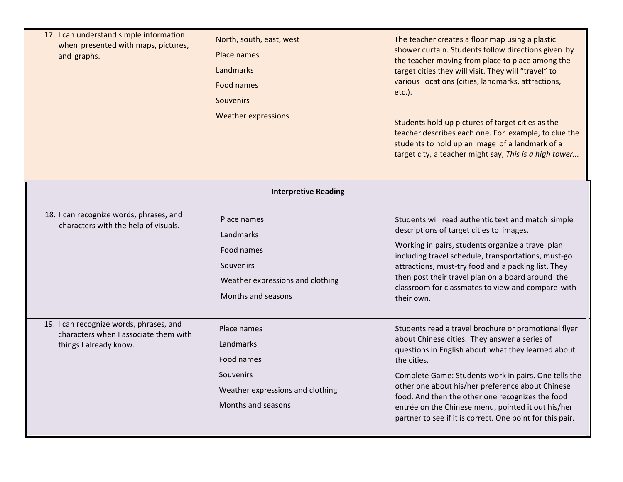| 17. I can understand simple information<br>when presented with maps, pictures,<br>and graphs.              | North, south, east, west<br>Place names<br>Landmarks<br>Food names<br><b>Souvenirs</b><br><b>Weather expressions</b> | The teacher creates a floor map using a plastic<br>shower curtain. Students follow directions given by<br>the teacher moving from place to place among the<br>target cities they will visit. They will "travel" to<br>various locations (cities, landmarks, attractions,<br>$etc.$ ).<br>Students hold up pictures of target cities as the<br>teacher describes each one. For example, to clue the<br>students to hold up an image of a landmark of a<br>target city, a teacher might say, This is a high tower |
|------------------------------------------------------------------------------------------------------------|----------------------------------------------------------------------------------------------------------------------|-----------------------------------------------------------------------------------------------------------------------------------------------------------------------------------------------------------------------------------------------------------------------------------------------------------------------------------------------------------------------------------------------------------------------------------------------------------------------------------------------------------------|
|                                                                                                            | <b>Interpretive Reading</b>                                                                                          |                                                                                                                                                                                                                                                                                                                                                                                                                                                                                                                 |
| 18. I can recognize words, phrases, and<br>characters with the help of visuals.                            | Place names<br>Landmarks<br>Food names<br>Souvenirs<br>Weather expressions and clothing<br>Months and seasons        | Students will read authentic text and match simple<br>descriptions of target cities to images.<br>Working in pairs, students organize a travel plan<br>including travel schedule, transportations, must-go<br>attractions, must-try food and a packing list. They<br>then post their travel plan on a board around the<br>classroom for classmates to view and compare with<br>their own.                                                                                                                       |
| 19. I can recognize words, phrases, and<br>characters when I associate them with<br>things I already know. | Place names<br>Landmarks<br>Food names<br>Souvenirs<br>Weather expressions and clothing<br>Months and seasons        | Students read a travel brochure or promotional flyer<br>about Chinese cities. They answer a series of<br>questions in English about what they learned about<br>the cities.<br>Complete Game: Students work in pairs. One tells the<br>other one about his/her preference about Chinese<br>food. And then the other one recognizes the food<br>entrée on the Chinese menu, pointed it out his/her<br>partner to see if it is correct. One point for this pair.                                                   |